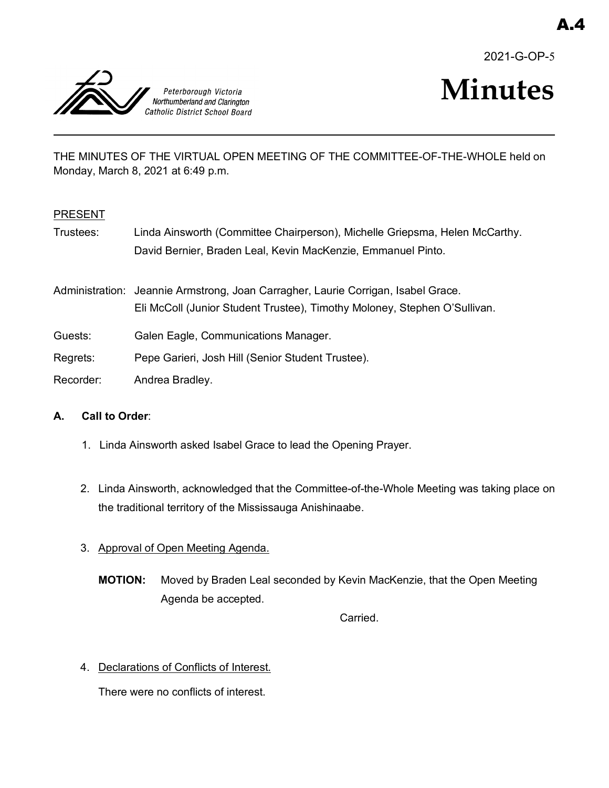2021-G-OP-5



# **Minutes**

THE MINUTES OF THE VIRTUAL OPEN MEETING OF THE COMMITTEE-OF-THE-WHOLE held on Monday, March 8, 2021 at 6:49 p.m.

# PRESENT

Trustees: Linda Ainsworth (Committee Chairperson), Michelle Griepsma, Helen McCarthy. David Bernier, Braden Leal, Kevin MacKenzie, Emmanuel Pinto.

Administration: Jeannie Armstrong, Joan Carragher, Laurie Corrigan, Isabel Grace. Eli McColl (Junior Student Trustee), Timothy Moloney, Stephen O'Sullivan.

- Guests: Galen Eagle, Communications Manager.
- Regrets: Pepe Garieri, Josh Hill (Senior Student Trustee).
- Recorder: Andrea Bradley.

# **A. Call to Order**:

- 1. Linda Ainsworth asked Isabel Grace to lead the Opening Prayer.
- 2. Linda Ainsworth, acknowledged that the Committee-of-the-Whole Meeting was taking place on the traditional territory of the Mississauga Anishinaabe.
- 3. Approval of Open Meeting Agenda.
	- **MOTION:** Moved by Braden Leal seconded by Kevin MacKenzie, that the Open Meeting Agenda be accepted.

Carried.

4. Declarations of Conflicts of Interest.

There were no conflicts of interest.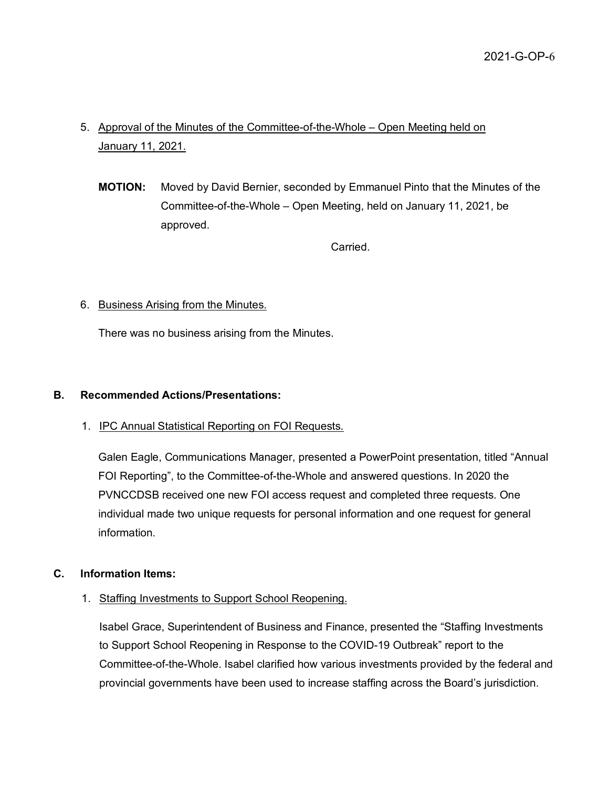- 5. Approval of the Minutes of the Committee-of-the-Whole Open Meeting held on January 11, 2021.
	- **MOTION:** Moved by David Bernier, seconded by Emmanuel Pinto that the Minutes of the Committee-of-the-Whole – Open Meeting, held on January 11, 2021, be approved.

Carried.

## 6. Business Arising from the Minutes.

There was no business arising from the Minutes.

## **B. Recommended Actions/Presentations:**

1. IPC Annual Statistical Reporting on FOI Requests.

Galen Eagle, Communications Manager, presented a PowerPoint presentation, titled "Annual FOI Reporting", to the Committee-of-the-Whole and answered questions. In 2020 the PVNCCDSB received one new FOI access request and completed three requests. One individual made two unique requests for personal information and one request for general information.

## **C. Information Items:**

1. Staffing Investments to Support School Reopening.

Isabel Grace, Superintendent of Business and Finance, presented the "Staffing Investments to Support School Reopening in Response to the COVID-19 Outbreak" report to the Committee-of-the-Whole. Isabel clarified how various investments provided by the federal and provincial governments have been used to increase staffing across the Board's jurisdiction.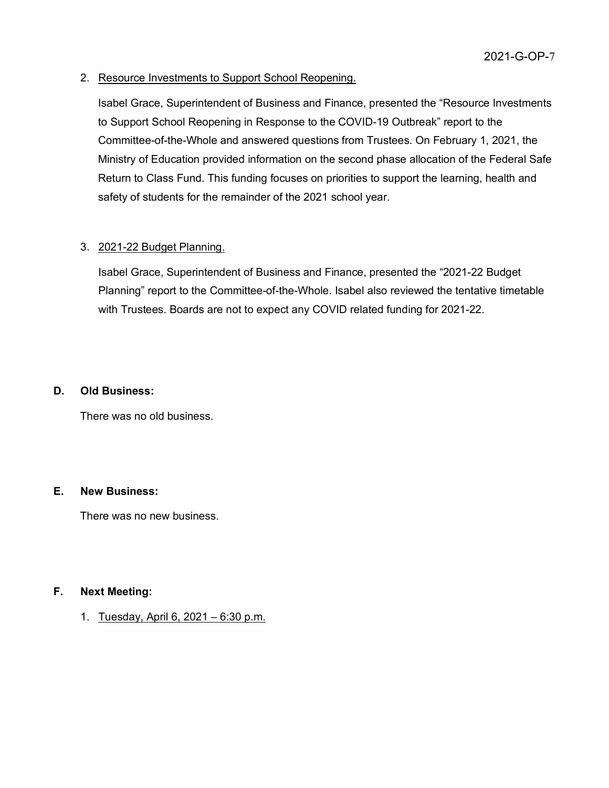## 2. Resource Investments to Support School Reopening.

Isabel Grace, Superintendent of Business and Finance, presented the "Resource Investments to Support School Reopening in Response to the COVID-19 Outbreak" report to the Committee-of-the-Whole and answered questions from Trustees. On February 1, 2021, the Ministry of Education provided information on the second phase allocation of the Federal Safe Return to Class Fund. This funding focuses on priorities to support the learning, health and safety of students for the remainder of the 2021 school year.

#### 3. 2021-22 Budget Planning.

Isabel Grace, Superintendent of Business and Finance, presented the "2021-22 Budget Planning" report to the Committee-of-the-Whole. Isabel also reviewed the tentative timetable with Trustees. Boards are not to expect any COVID related funding for 2021-22.

#### **D. Old Business:**

There was no old business.

#### **E. New Business:**

There was no new business.

#### **F. Next Meeting:**

1. Tuesday, April 6, 2021 – 6:30 p.m.